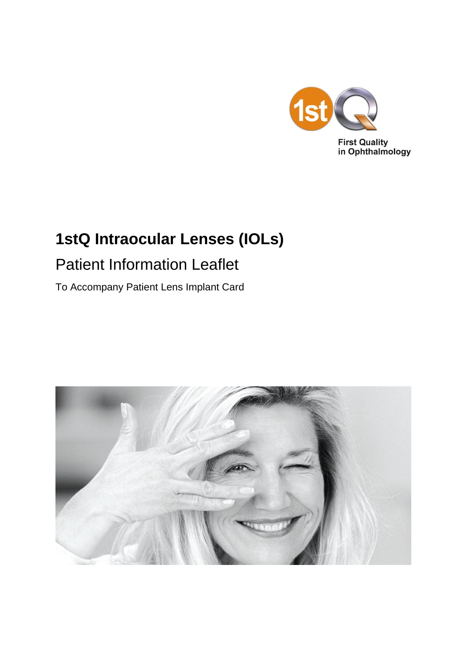

# **1stQ Intraocular Lenses (IOLs)**

# Patient Information Leaflet

To Accompany Patient Lens Implant Card

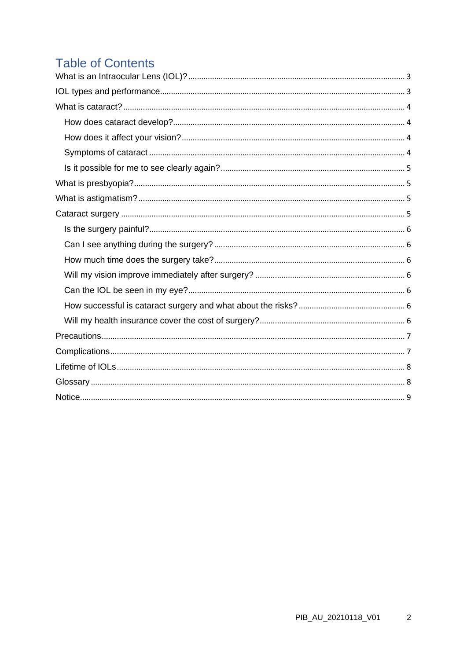# **Table of Contents**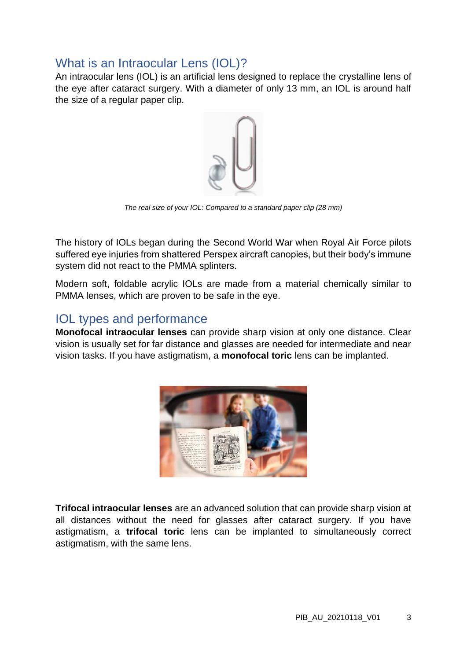## <span id="page-2-0"></span>What is an Intraocular Lens (IOL)?

An intraocular lens (IOL) is an artificial lens designed to replace the crystalline lens of the eye after cataract surgery. With a diameter of only 13 mm, an IOL is around half the size of a regular paper clip.



*The real size of your IOL: Compared to a standard paper clip (28 mm)*

The history of IOLs began during the Second World War when Royal Air Force pilots suffered eye injuries from shattered Perspex aircraft canopies, but their body's immune system did not react to the PMMA splinters.

Modern soft, foldable acrylic IOLs are made from a material chemically similar to PMMA lenses, which are proven to be safe in the eye.

### <span id="page-2-1"></span>IOL types and performance

**Monofocal intraocular lenses** can provide sharp vision at only one distance. Clear vision is usually set for far distance and glasses are needed for intermediate and near vision tasks. If you have astigmatism, a **monofocal toric** lens can be implanted.



**Trifocal intraocular lenses** are an advanced solution that can provide sharp vision at all distances without the need for glasses after cataract surgery. If you have astigmatism, a **trifocal toric** lens can be implanted to simultaneously correct astigmatism, with the same lens.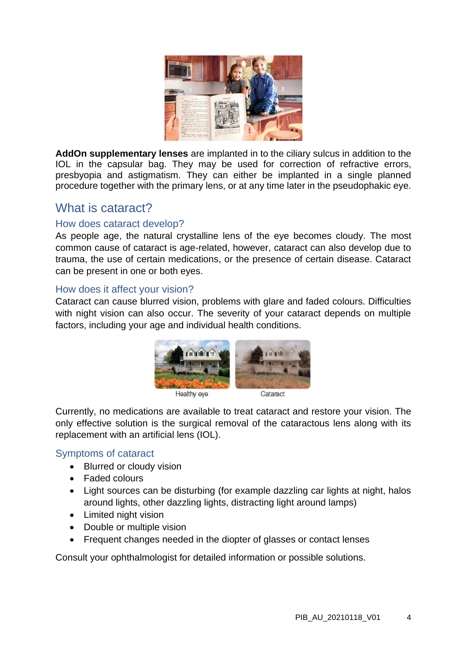

**AddOn supplementary lenses** are implanted in to the ciliary sulcus in addition to the IOL in the capsular bag. They may be used for correction of refractive errors, presbyopia and astigmatism. They can either be implanted in a single planned procedure together with the primary lens, or at any time later in the pseudophakic eye.

### <span id="page-3-0"></span>What is cataract?

### <span id="page-3-1"></span>How does cataract develop?

As people age, the natural crystalline lens of the eye becomes cloudy. The most common cause of cataract is age-related, however, cataract can also develop due to trauma, the use of certain medications, or the presence of certain disease. Cataract can be present in one or both eyes.

#### <span id="page-3-2"></span>How does it affect your vision?

Cataract can cause blurred vision, problems with glare and faded colours. Difficulties with night vision can also occur. The severity of your cataract depends on multiple factors, including your age and individual health conditions.



Currently, no medications are available to treat cataract and restore your vision. The only effective solution is the surgical removal of the cataractous lens along with its replacement with an artificial lens (IOL).

#### <span id="page-3-3"></span>Symptoms of cataract

- Blurred or cloudy vision
- Faded colours
- Light sources can be disturbing (for example dazzling car lights at night, halos around lights, other dazzling lights, distracting light around lamps)
- Limited night vision
- Double or multiple vision
- Frequent changes needed in the diopter of glasses or contact lenses

Consult your ophthalmologist for detailed information or possible solutions.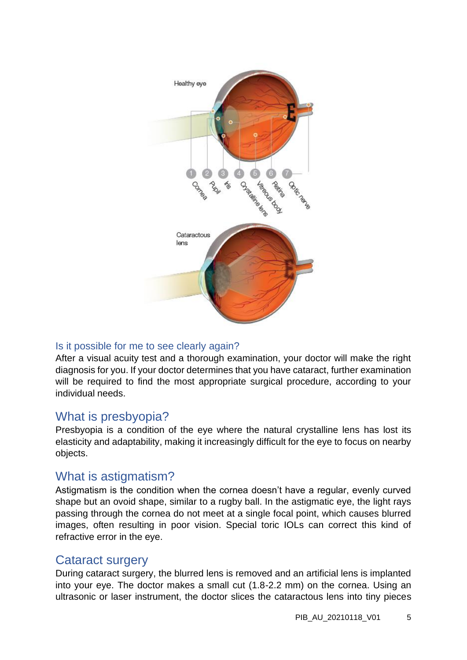

### <span id="page-4-0"></span>Is it possible for me to see clearly again?

After a visual acuity test and a thorough examination, your doctor will make the right diagnosis for you. If your doctor determines that you have cataract, further examination will be required to find the most appropriate surgical procedure, according to your individual needs.

### <span id="page-4-1"></span>What is presbyopia?

Presbyopia is a condition of the eye where the natural crystalline lens has lost its elasticity and adaptability, making it increasingly difficult for the eye to focus on nearby objects.

### <span id="page-4-2"></span>What is astigmatism?

Astigmatism is the condition when the cornea doesn't have a regular, evenly curved shape but an ovoid shape, similar to a rugby ball. In the astigmatic eye, the light rays passing through the cornea do not meet at a single focal point, which causes blurred images, often resulting in poor vision. Special toric IOLs can correct this kind of refractive error in the eye.

### <span id="page-4-3"></span>Cataract surgery

During cataract surgery, the blurred lens is removed and an artificial lens is implanted into your eye. The doctor makes a small cut (1.8-2.2 mm) on the cornea. Using an ultrasonic or laser instrument, the doctor slices the cataractous lens into tiny pieces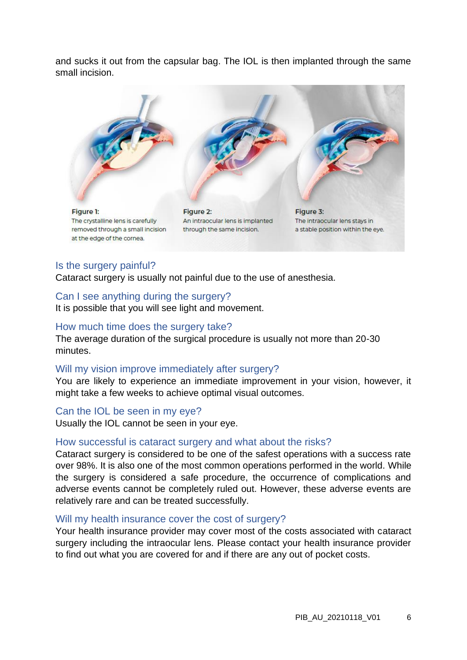and sucks it out from the capsular bag. The IOL is then implanted through the same small incision.



#### <span id="page-5-0"></span>Is the surgery painful?

Cataract surgery is usually not painful due to the use of anesthesia.

#### <span id="page-5-1"></span>Can I see anything during the surgery?

It is possible that you will see light and movement.

#### <span id="page-5-2"></span>How much time does the surgery take?

The average duration of the surgical procedure is usually not more than 20-30 minutes.

#### <span id="page-5-3"></span>Will my vision improve immediately after surgery?

You are likely to experience an immediate improvement in your vision, however, it might take a few weeks to achieve optimal visual outcomes.

#### <span id="page-5-4"></span>Can the IOL be seen in my eye?

Usually the IOL cannot be seen in your eye.

#### <span id="page-5-5"></span>How successful is cataract surgery and what about the risks?

Cataract surgery is considered to be one of the safest operations with a success rate over 98%. It is also one of the most common operations performed in the world. While the surgery is considered a safe procedure, the occurrence of complications and adverse events cannot be completely ruled out. However, these adverse events are relatively rare and can be treated successfully.

#### <span id="page-5-6"></span>Will my health insurance cover the cost of surgery?

Your health insurance provider may cover most of the costs associated with cataract surgery including the intraocular lens. Please contact your health insurance provider to find out what you are covered for and if there are any out of pocket costs.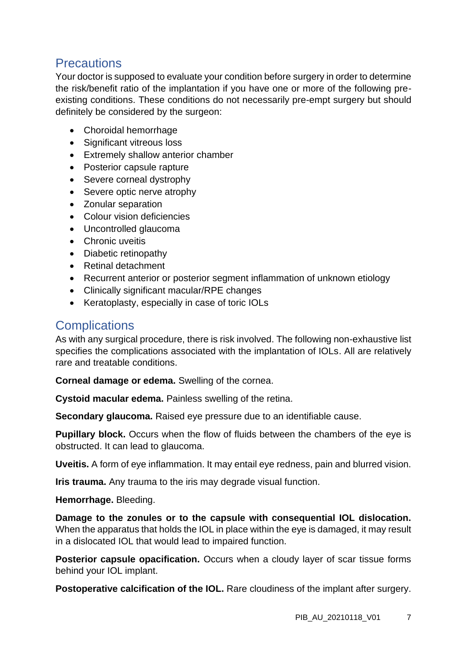### <span id="page-6-0"></span>**Precautions**

Your doctor is supposed to evaluate your condition before surgery in order to determine the risk/benefit ratio of the implantation if you have one or more of the following preexisting conditions. These conditions do not necessarily pre-empt surgery but should definitely be considered by the surgeon:

- Choroidal hemorrhage
- Significant vitreous loss
- Extremely shallow anterior chamber
- Posterior capsule rapture
- Severe corneal dystrophy
- Severe optic nerve atrophy
- Zonular separation
- Colour vision deficiencies
- Uncontrolled glaucoma
- Chronic uveitis
- Diabetic retinopathy
- Retinal detachment
- Recurrent anterior or posterior segment inflammation of unknown etiology
- Clinically significant macular/RPE changes
- Keratoplasty, especially in case of toric IOLs

## <span id="page-6-1"></span>**Complications**

As with any surgical procedure, there is risk involved. The following non-exhaustive list specifies the complications associated with the implantation of IOLs. All are relatively rare and treatable conditions.

**Corneal damage or edema.** Swelling of the cornea.

**Cystoid macular edema.** Painless swelling of the retina.

**Secondary glaucoma.** Raised eye pressure due to an identifiable cause.

**Pupillary block.** Occurs when the flow of fluids between the chambers of the eye is obstructed. It can lead to glaucoma.

**Uveitis.** A form of eye inflammation. It may entail eye redness, pain and blurred vision.

**Iris trauma.** Any trauma to the iris may degrade visual function.

**Hemorrhage.** Bleeding.

**Damage to the zonules or to the capsule with consequential IOL dislocation.** When the apparatus that holds the IOL in place within the eye is damaged, it may result in a dislocated IOL that would lead to impaired function.

**Posterior capsule opacification.** Occurs when a cloudy layer of scar tissue forms behind your IOL implant.

**Postoperative calcification of the IOL.** Rare cloudiness of the implant after surgery.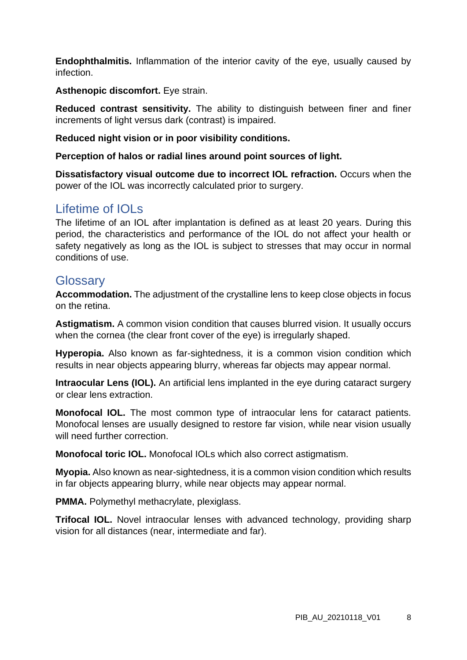**Endophthalmitis.** Inflammation of the interior cavity of the eye, usually caused by infection.

**Asthenopic discomfort.** Eye strain.

**Reduced contrast sensitivity.** The ability to distinguish between finer and finer increments of light versus dark (contrast) is impaired.

**Reduced night vision or in poor visibility conditions.**

**Perception of halos or radial lines around point sources of light.**

**Dissatisfactory visual outcome due to incorrect IOL refraction.** Occurs when the power of the IOL was incorrectly calculated prior to surgery.

### <span id="page-7-0"></span>Lifetime of IOLs

The lifetime of an IOL after implantation is defined as at least 20 years. During this period, the characteristics and performance of the IOL do not affect your health or safety negatively as long as the IOL is subject to stresses that may occur in normal conditions of use.

### <span id="page-7-1"></span>**Glossary**

**Accommodation.** The adjustment of the crystalline lens to keep close objects in focus on the retina.

**Astigmatism.** A common vision condition that causes blurred vision. It usually occurs when the cornea (the clear front cover of the eye) is irregularly shaped.

**Hyperopia.** Also known as far-sightedness, it is a common vision condition which results in near objects appearing blurry, whereas far objects may appear normal.

**Intraocular Lens (IOL).** An artificial lens implanted in the eve during cataract surgery or clear lens extraction.

**Monofocal IOL.** The most common type of intraocular lens for cataract patients. Monofocal lenses are usually designed to restore far vision, while near vision usually will need further correction.

**Monofocal toric IOL.** Monofocal IOLs which also correct astigmatism.

**Myopia.** Also known as near-sightedness, it is a common vision condition which results in far objects appearing blurry, while near objects may appear normal.

**PMMA.** Polymethyl methacrylate, plexiglass.

**Trifocal IOL.** Novel intraocular lenses with advanced technology, providing sharp vision for all distances (near, intermediate and far).